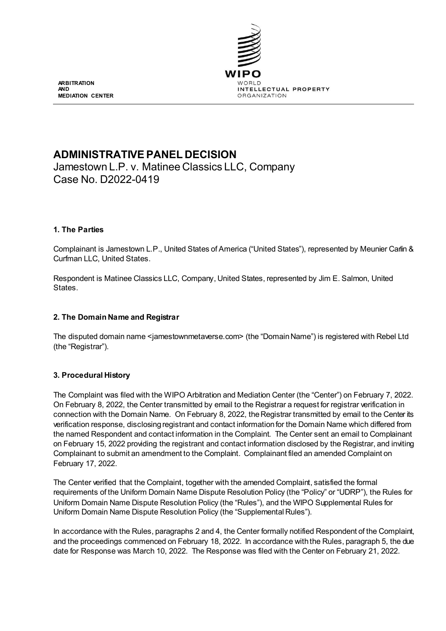

**ARBITRATION AND MEDIATION CENTER**

# **ADMINISTRATIVE PANEL DECISION**

Jamestown L.P. v. Matinee Classics LLC, Company Case No. D2022-0419

## **1. The Parties**

Complainant is Jamestown L.P., United States of America ("United States"), represented by Meunier Carlin & Curfman LLC, United States.

Respondent is Matinee Classics LLC, Company, United States, represented by Jim E. Salmon, United States.

## **2. The Domain Name and Registrar**

The disputed domain name <jamestownmetaverse.com> (the "Domain Name") is registered with Rebel Ltd (the "Registrar").

## **3. Procedural History**

The Complaint was filed with the WIPO Arbitration and Mediation Center (the "Center") on February 7, 2022. On February 8, 2022, the Center transmitted by email to the Registrar a request for registrar verification in connection with the Domain Name. On February 8, 2022, the Registrar transmitted by email to the Center its verification response, disclosing registrant and contact information for the Domain Name which differed from the named Respondent and contact information in the Complaint. The Center sent an email to Complainant on February 15, 2022 providing the registrant and contact information disclosed by the Registrar, and inviting Complainant to submit an amendment to the Complaint. Complainant filed an amended Complaint on February 17, 2022.

The Center verified that the Complaint, together with the amended Complaint, satisfied the formal requirements of the Uniform Domain Name Dispute Resolution Policy (the "Policy" or "UDRP"), the Rules for Uniform Domain Name Dispute Resolution Policy (the "Rules"), and the WIPO Supplemental Rules for Uniform Domain Name Dispute Resolution Policy (the "Supplemental Rules").

In accordance with the Rules, paragraphs 2 and 4, the Center formally notified Respondent of the Complaint, and the proceedings commenced on February 18, 2022. In accordance with the Rules, paragraph 5, the due date for Response was March 10, 2022. The Response was filed with the Center on February 21, 2022.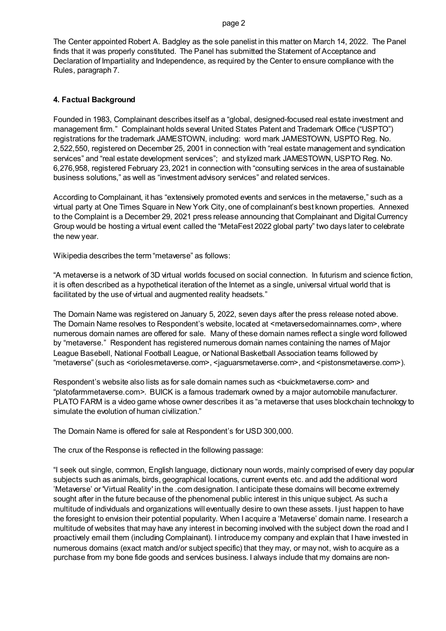#### page 2

The Center appointed Robert A. Badgley as the sole panelist in this matter on March 14, 2022. The Panel finds that it was properly constituted. The Panel has submitted the Statement of Acceptance and Declaration of Impartiality and Independence, as required by the Center to ensure compliance with the Rules, paragraph 7.

## **4. Factual Background**

Founded in 1983, Complainant describes itself as a "global, designed-focused real estate investment and management firm." Complainant holds several United States Patent and Trademark Office ("USPTO") registrations for the trademark JAMESTOWN, including: word mark JAMESTOWN, USPTO Reg. No. 2,522,550, registered on December 25, 2001 in connection with "real estate management and syndication services" and "real estate development services"; and stylized mark JAMESTOWN, USPTO Reg. No. 6,276,958, registered February 23, 2021 in connection with "consulting services in the area of sustainable business solutions," as well as "investment advisory services" and related services.

According to Complainant, it has "extensively promoted events and services in the metaverse," such as a virtual party at One Times Square in New York City, one of complainant's best known properties. Annexed to the Complaint is a December 29, 2021 press release announcing that Complainant and Digital Currency Group would be hosting a virtual event called the "MetaFest 2022 global party" two days later to celebrate the new year.

Wikipedia describes the term "metaverse" as follows:

"A metaverse is a network of 3D virtual worlds focused on social connection. In futurism and science fiction, it is often described as a hypothetical iteration of the Internet as a single, universal virtual world that is facilitated by the use of virtual and augmented reality headsets."

The Domain Name was registered on January 5, 2022, seven days after the press release noted above. The Domain Name resolves to Respondent's website, located at <metaversedomainnames.com>, where numerous domain names are offered for sale. Many of these domain names reflect a single word followed by "metaverse." Respondent has registered numerous domain names containing the names of Major League Basebell, National Football League, or National Basketball Association teams followed by "metaverse" (such as <oriolesmetaverse.com>, <jaguarsmetaverse.com>, and <pistonsmetaverse.com>).

Respondent's website also lists as for sale domain names such as <br/>buickmetaverse.com> and "platofarmmetaverse.com>. BUICK is a famous trademark owned by a major automobile manufacturer. PLATO FARM is a video game whose owner describes it as "a metaverse that uses blockchain technology to simulate the evolution of human civilization."

The Domain Name is offered for sale at Respondent's for USD 300,000.

The crux of the Response is reflected in the following passage:

"I seek out single, common, English language, dictionary noun words, mainly comprised of every day popular subjects such as animals, birds, geographical locations, current events etc. and add the additional word 'Metaverse' or 'Virtual Reality' in the .com designation. I anticipate these domains will become extremely sought after in the future because of the phenomenal public interest in this unique subject. As such a multitude of individuals and organizations will eventually desire to own these assets. I just happen to have the foresight to envision their potential popularity. When I acquire a 'Metaverse' domain name. I research a multitude of websites that may have any interest in becoming involved with the subject down the road and I proactively email them (including Complainant). I introduce my company and explain that I have invested in numerous domains (exact match and/or subject specific) that they may, or may not, wish to acquire as a purchase from my bone fide goods and services business. I always include that my domains are non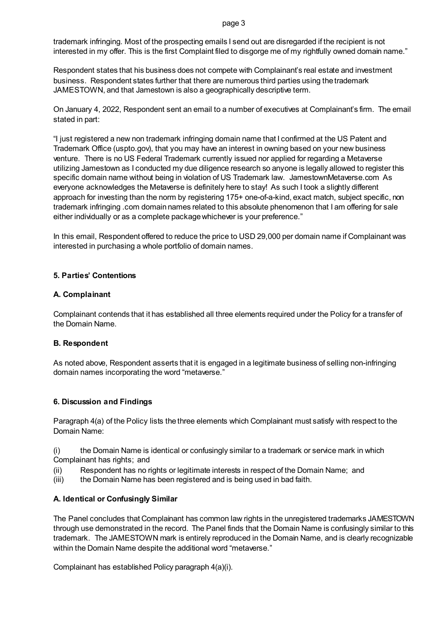page 3

trademark infringing. Most of the prospecting emails I send out are disregarded if the recipient is not interested in my offer. This is the first Complaint filed to disgorge me of my rightfully owned domain name."

Respondent states that his business does not compete with Complainant's real estate and investment business. Respondent states further that there are numerous third parties using the trademark JAMESTOWN, and that Jamestown is also a geographically descriptive term.

On January 4, 2022, Respondent sent an email to a number of executives at Complainant's firm. The email stated in part:

"I just registered a new non trademark infringing domain name that I confirmed at the US Patent and Trademark Office (uspto.gov), that you may have an interest in owning based on your new business venture. There is no US Federal Trademark currently issued nor applied for regarding a Metaverse utilizing Jamestown as I conducted my due diligence research so anyone is legally allowed to register this specific domain name without being in violation of US Trademark law. JamestownMetaverse.com As everyone acknowledges the Metaverse is definitely here to stay! As such I took a slightly different approach for investing than the norm by registering 175+ one-of-a-kind, exact match, subject specific, non trademark infringing .com domain names related to this absolute phenomenon that I am offering for sale either individually or as a complete package whichever is your preference."

In this email, Respondent offered to reduce the price to USD 29,000 per domain name if Complainant was interested in purchasing a whole portfolio of domain names.

## **5. Parties' Contentions**

## **A. Complainant**

Complainant contends that it has established all three elements required under the Policy for a transfer of the Domain Name.

## **B. Respondent**

As noted above, Respondent asserts that it is engaged in a legitimate business of selling non-infringing domain names incorporating the word "metaverse."

## **6. Discussion and Findings**

Paragraph 4(a) of the Policy lists the three elements which Complainant must satisfy with respect to the Domain Name:

(i) the Domain Name is identical or confusingly similar to a trademark or service mark in which Complainant has rights; and

(ii) Respondent has no rights or legitimate interests in respect of the Domain Name; and

(iii) the Domain Name has been registered and is being used in bad faith.

## **A. Identical or Confusingly Similar**

The Panel concludes that Complainant has common law rights in the unregistered trademarks JAMESTOWN through use demonstrated in the record. The Panel finds that the Domain Name is confusingly similar to this trademark. The JAMESTOWN mark is entirely reproduced in the Domain Name, and is clearly recognizable within the Domain Name despite the additional word "metaverse."

Complainant has established Policy paragraph 4(a)(i).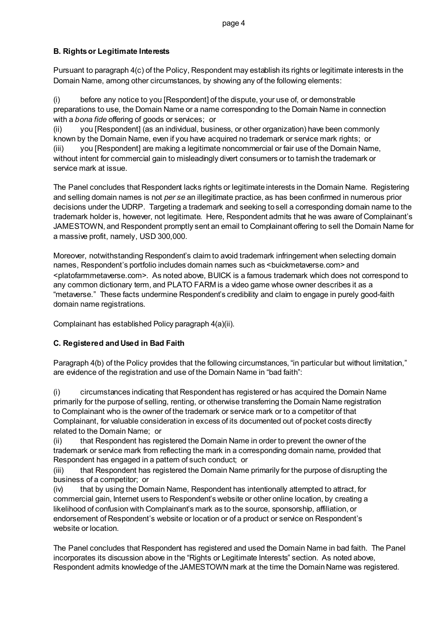## **B. Rights or Legitimate Interests**

Pursuant to paragraph 4(c) of the Policy, Respondent may establish its rights or legitimate interests in the Domain Name, among other circumstances, by showing any of the following elements:

(i) before any notice to you [Respondent] of the dispute, your use of, or demonstrable preparations to use, the Domain Name or a name corresponding to the Domain Name in connection with a *bona fide* offering of goods or services; or

(ii) you [Respondent] (as an individual, business, or other organization) have been commonly known by the Domain Name, even if you have acquired no trademark or service mark rights; or (iii) you [Respondent] are making a legitimate noncommercial or fair use of the Domain Name, without intent for commercial gain to misleadingly divert consumers or to tarnish the trademark or service mark at issue.

The Panel concludes that Respondent lacks rights or legitimate interests in the Domain Name. Registering and selling domain names is not *per se* an illegitimate practice, as has been confirmed in numerous prior decisions under the UDRP. Targeting a trademark and seeking to sell a corresponding domain name to the trademark holder is, however, not legitimate. Here, Respondent admits that he was aware of Complainant's JAMESTOWN, and Respondent promptly sent an email to Complainant offering to sell the Domain Name for a massive profit, namely, USD 300,000.

Moreover, notwithstanding Respondent's claim to avoid trademark infringement when selecting domain names, Respondent's portfolio includes domain names such as <br/>buickmetaverse.com> and <platofarmmetaverse.com>. As noted above, BUICK is a famous trademark which does not correspond to any common dictionary term, and PLATO FARM is a video game whose owner describes it as a "metaverse." These facts undermine Respondent's credibility and claim to engage in purely good-faith domain name registrations.

Complainant has established Policy paragraph 4(a)(ii).

# **C. Registered and Used in Bad Faith**

Paragraph 4(b) of the Policy provides that the following circumstances, "in particular but without limitation," are evidence of the registration and use of the Domain Name in "bad faith":

(i) circumstances indicating that Respondent has registered or has acquired the Domain Name primarily for the purpose of selling, renting, or otherwise transferring the Domain Name registration to Complainant who is the owner of the trademark or service mark or to a competitor of that Complainant, for valuable consideration in excess of its documented out of pocket costs directly related to the Domain Name; or

(ii) that Respondent has registered the Domain Name in order to prevent the owner of the trademark or service mark from reflecting the mark in a corresponding domain name, provided that Respondent has engaged in a pattern of such conduct; or

(iii) that Respondent has registered the Domain Name primarily for the purpose of disrupting the business of a competitor; or

(iv) that by using the Domain Name, Respondent has intentionally attempted to attract, for commercial gain, Internet users to Respondent's website or other online location, by creating a likelihood of confusion with Complainant's mark as to the source, sponsorship, affiliation, or endorsement of Respondent's website or location or of a product or service on Respondent's website or location.

The Panel concludes that Respondent has registered and used the Domain Name in bad faith. The Panel incorporates its discussion above in the "Rights or Legitimate Interests" section. As noted above, Respondent admits knowledge of the JAMESTOWN mark at the time the Domain Name was registered.